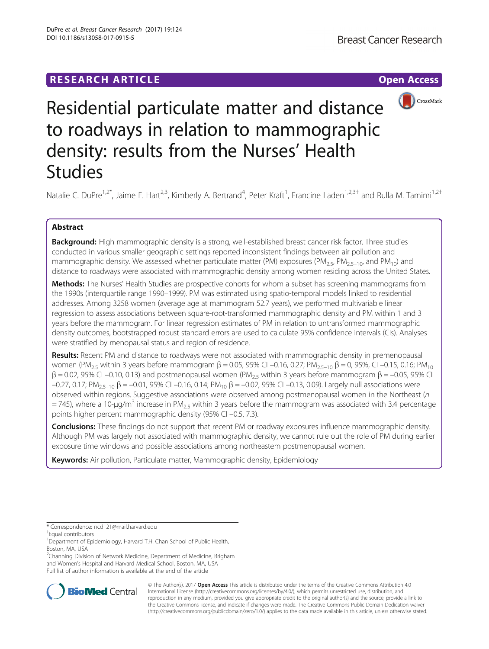# **RESEARCH ARTICLE Example 2014 12:30 The Contract of Contract ACCESS**



Residential particulate matter and distance to roadways in relation to mammographic density: results from the Nurses' Health Studies

Natalie C. DuPre<sup>1,2\*</sup>, Jaime E. Hart<sup>2,3</sup>, Kimberly A. Bertrand<sup>4</sup>, Peter Kraft<sup>1</sup>, Francine Laden<sup>1,2,3†</sup> and Rulla M. Tamimi<sup>1,2†</sup>

# Abstract

Background: High mammographic density is a strong, well-established breast cancer risk factor. Three studies conducted in various smaller geographic settings reported inconsistent findings between air pollution and mammographic density. We assessed whether particulate matter (PM) exposures (PM<sub>2.5</sub>, PM<sub>2.5–10</sub>, and PM<sub>10</sub>) and distance to roadways were associated with mammographic density among women residing across the United States.

Methods: The Nurses' Health Studies are prospective cohorts for whom a subset has screening mammograms from the 1990s (interquartile range 1990–1999). PM was estimated using spatio-temporal models linked to residential addresses. Among 3258 women (average age at mammogram 52.7 years), we performed multivariable linear regression to assess associations between square-root-transformed mammographic density and PM within 1 and 3 years before the mammogram. For linear regression estimates of PM in relation to untransformed mammographic density outcomes, bootstrapped robust standard errors are used to calculate 95% confidence intervals (CIs). Analyses were stratified by menopausal status and region of residence.

Results: Recent PM and distance to roadways were not associated with mammographic density in premenopausal women (PM<sub>2.5</sub> within 3 years before mammogram β = 0.05, 95% CI –0.16, 0.27; PM<sub>2.5–10</sub> β = 0, 95%, CI –0.15, 0.16; PM<sub>10</sub>  $β = 0.02$ , 95% CI –0.10, 0.13) and postmenopausal women (PM<sub>2.5</sub> within 3 years before mammogram  $β = -0.05$ , 95% CI –0.27, 0.17; PM<sub>2.5–10</sub> β = –0.01, 95% CI –0.16, 0.14; PM<sub>10</sub> β = –0.02, 95% CI –0.13, 0.09). Largely null associations were observed within regions. Suggestive associations were observed among postmenopausal women in the Northeast (n  $=$  745), where a 10-µg/m<sup>3</sup> increase in PM<sub>2.5</sub> within 3 years before the mammogram was associated with 3.4 percentage points higher percent mammographic density (95% CI –0.5, 7.3).

**Conclusions:** These findings do not support that recent PM or roadway exposures influence mammographic density. Although PM was largely not associated with mammographic density, we cannot rule out the role of PM during earlier exposure time windows and possible associations among northeastern postmenopausal women.

Keywords: Air pollution, Particulate matter, Mammographic density, Epidemiology

<sup>2</sup>Channing Division of Network Medicine, Department of Medicine, Brigham and Women's Hospital and Harvard Medical School, Boston, MA, USA Full list of author information is available at the end of the article



© The Author(s). 2017 **Open Access** This article is distributed under the terms of the Creative Commons Attribution 4.0 International License [\(http://creativecommons.org/licenses/by/4.0/](http://creativecommons.org/licenses/by/4.0/)), which permits unrestricted use, distribution, and reproduction in any medium, provided you give appropriate credit to the original author(s) and the source, provide a link to the Creative Commons license, and indicate if changes were made. The Creative Commons Public Domain Dedication waiver [\(http://creativecommons.org/publicdomain/zero/1.0/](http://creativecommons.org/publicdomain/zero/1.0/)) applies to the data made available in this article, unless otherwise stated.

<sup>\*</sup> Correspondence: [ncd121@mail.harvard.edu](mailto:ncd121@mail.harvard.edu) †

Equal contributors

<sup>&</sup>lt;sup>1</sup>Department of Epidemiology, Harvard T.H. Chan School of Public Health, Boston, MA, USA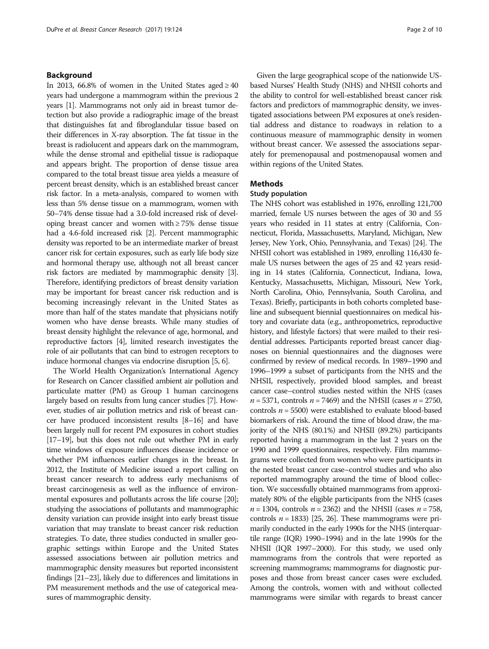# Background

In 2013, 66.8% of women in the United States aged  $\geq 40$ years had undergone a mammogram within the previous 2 years [\[1\]](#page-8-0). Mammograms not only aid in breast tumor detection but also provide a radiographic image of the breast that distinguishes fat and fibroglandular tissue based on their differences in X-ray absorption. The fat tissue in the breast is radiolucent and appears dark on the mammogram, while the dense stromal and epithelial tissue is radiopaque and appears bright. The proportion of dense tissue area compared to the total breast tissue area yields a measure of percent breast density, which is an established breast cancer risk factor. In a meta-analysis, compared to women with less than 5% dense tissue on a mammogram, women with 50–74% dense tissue had a 3.0-fold increased risk of developing breast cancer and women with ≥ 75% dense tissue had a 4.6-fold increased risk [\[2](#page-8-0)]. Percent mammographic density was reported to be an intermediate marker of breast cancer risk for certain exposures, such as early life body size and hormonal therapy use, although not all breast cancer risk factors are mediated by mammographic density [[3](#page-8-0)]. Therefore, identifying predictors of breast density variation may be important for breast cancer risk reduction and is becoming increasingly relevant in the United States as more than half of the states mandate that physicians notify women who have dense breasts. While many studies of breast density highlight the relevance of age, hormonal, and reproductive factors [[4](#page-8-0)], limited research investigates the role of air pollutants that can bind to estrogen receptors to induce hormonal changes via endocrine disruption [\[5, 6\]](#page-8-0).

The World Health Organization's International Agency for Research on Cancer classified ambient air pollution and particulate matter (PM) as Group 1 human carcinogens largely based on results from lung cancer studies [\[7](#page-8-0)]. However, studies of air pollution metrics and risk of breast cancer have produced inconsistent results [[8](#page-8-0)–[16\]](#page-9-0) and have been largely null for recent PM exposures in cohort studies [[17](#page-9-0)–[19](#page-9-0)], but this does not rule out whether PM in early time windows of exposure influences disease incidence or whether PM influences earlier changes in the breast. In 2012, the Institute of Medicine issued a report calling on breast cancer research to address early mechanisms of breast carcinogenesis as well as the influence of environmental exposures and pollutants across the life course [\[20](#page-9-0)]; studying the associations of pollutants and mammographic density variation can provide insight into early breast tissue variation that may translate to breast cancer risk reduction strategies. To date, three studies conducted in smaller geographic settings within Europe and the United States assessed associations between air pollution metrics and mammographic density measures but reported inconsistent findings [\[21](#page-9-0)–[23](#page-9-0)], likely due to differences and limitations in PM measurement methods and the use of categorical measures of mammographic density.

Given the large geographical scope of the nationwide USbased Nurses' Health Study (NHS) and NHSII cohorts and the ability to control for well-established breast cancer risk factors and predictors of mammographic density, we investigated associations between PM exposures at one's residential address and distance to roadways in relation to a continuous measure of mammographic density in women without breast cancer. We assessed the associations separately for premenopausal and postmenopausal women and within regions of the United States.

# Methods

### Study population

The NHS cohort was established in 1976, enrolling 121,700 married, female US nurses between the ages of 30 and 55 years who resided in 11 states at entry (California, Connecticut, Florida, Massachusetts, Maryland, Michigan, New Jersey, New York, Ohio, Pennsylvania, and Texas) [[24](#page-9-0)]. The NHSII cohort was established in 1989, enrolling 116,430 female US nurses between the ages of 25 and 42 years residing in 14 states (California, Connecticut, Indiana, Iowa, Kentucky, Massachusetts, Michigan, Missouri, New York, North Carolina, Ohio, Pennsylvania, South Carolina, and Texas). Briefly, participants in both cohorts completed baseline and subsequent biennial questionnaires on medical history and covariate data (e.g., anthropometrics, reproductive history, and lifestyle factors) that were mailed to their residential addresses. Participants reported breast cancer diagnoses on biennial questionnaires and the diagnoses were confirmed by review of medical records. In 1989–1990 and 1996–1999 a subset of participants from the NHS and the NHSII, respectively, provided blood samples, and breast cancer case–control studies nested within the NHS (cases  $n = 5371$ , controls  $n = 7469$ ) and the NHSII (cases  $n = 2750$ , controls  $n = 5500$ ) were established to evaluate blood-based biomarkers of risk. Around the time of blood draw, the majority of the NHS (80.1%) and NHSII (89.2%) participants reported having a mammogram in the last 2 years on the 1990 and 1999 questionnaires, respectively. Film mammograms were collected from women who were participants in the nested breast cancer case–control studies and who also reported mammography around the time of blood collection. We successfully obtained mammograms from approximately 80% of the eligible participants from the NHS (cases  $n = 1304$ , controls  $n = 2362$ ) and the NHSII (cases  $n = 758$ , controls  $n = 1833$  [[25, 26\]](#page-9-0). These mammograms were primarily conducted in the early 1990s for the NHS (interquartile range (IQR) 1990–1994) and in the late 1990s for the NHSII (IQR 1997–2000). For this study, we used only mammograms from the controls that were reported as screening mammograms; mammograms for diagnostic purposes and those from breast cancer cases were excluded. Among the controls, women with and without collected mammograms were similar with regards to breast cancer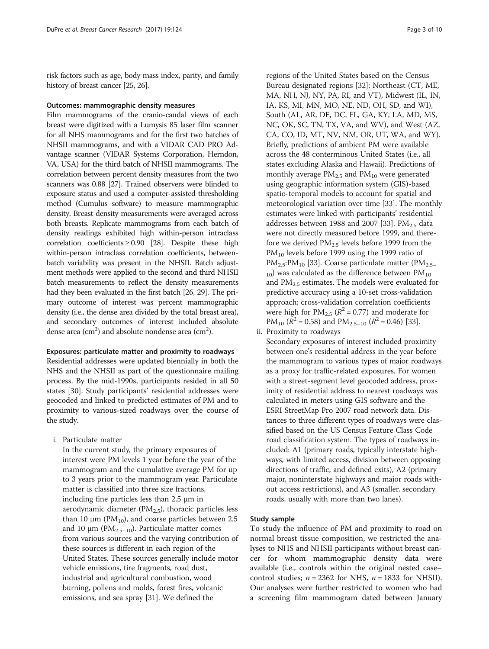risk factors such as age, body mass index, parity, and family history of breast cancer [\[25, 26\]](#page-9-0).

### Outcomes: mammographic density measures

Film mammograms of the cranio-caudal views of each breast were digitized with a Lumysis 85 laser film scanner for all NHS mammograms and for the first two batches of NHSII mammograms, and with a VIDAR CAD PRO Advantage scanner (VIDAR Systems Corporation, Herndon, VA, USA) for the third batch of NHSII mammograms. The correlation between percent density measures from the two scanners was 0.88 [\[27](#page-9-0)]. Trained observers were blinded to exposure status and used a computer-assisted thresholding method (Cumulus software) to measure mammographic density. Breast density measurements were averaged across both breasts. Replicate mammograms from each batch of density readings exhibited high within-person intraclass correlation coefficients  $\geq 0.90$  [\[28\]](#page-9-0). Despite these high within-person intraclass correlation coefficients, betweenbatch variability was present in the NHSII. Batch adjustment methods were applied to the second and third NHSII batch measurements to reflect the density measurements had they been evaluated in the first batch [[26](#page-9-0), [29\]](#page-9-0). The primary outcome of interest was percent mammographic density (i.e., the dense area divided by the total breast area), and secondary outcomes of interest included absolute dense area (cm<sup>2</sup>) and absolute nondense area (cm<sup>2</sup>).

# Exposures: particulate matter and proximity to roadways

Residential addresses were updated biennially in both the NHS and the NHSII as part of the questionnaire mailing process. By the mid-1990s, participants resided in all 50 states [[30\]](#page-9-0). Study participants' residential addresses were geocoded and linked to predicted estimates of PM and to proximity to various-sized roadways over the course of the study.

i. Particulate matter

In the current study, the primary exposures of interest were PM levels 1 year before the year of the mammogram and the cumulative average PM for up to 3 years prior to the mammogram year. Particulate matter is classified into three size fractions, including fine particles less than 2.5 μm in aerodynamic diameter ( $PM<sub>2.5</sub>$ ), thoracic particles less than 10 μm ( $PM_{10}$ ), and coarse particles between 2.5 and 10  $\mu$ m (PM<sub>2.5–10</sub>). Particulate matter comes from various sources and the varying contribution of these sources is different in each region of the United States. These sources generally include motor vehicle emissions, tire fragments, road dust, industrial and agricultural combustion, wood burning, pollens and molds, forest fires, volcanic emissions, and sea spray [\[31\]](#page-9-0). We defined the

regions of the United States based on the Census Bureau designated regions [\[32\]](#page-9-0): Northeast (CT, ME, MA, NH, NJ, NY, PA, RI, and VT), Midwest (IL, IN, IA, KS, MI, MN, MO, NE, ND, OH, SD, and WI), South (AL, AR, DE, DC, FL, GA, KY, LA, MD, MS, NC, OK, SC, TN, TX, VA, and WV), and West (AZ, CA, CO, ID, MT, NV, NM, OR, UT, WA, and WY). Briefly, predictions of ambient PM were available across the 48 conterminous United States (i.e., all states excluding Alaska and Hawaii). Predictions of monthly average  $PM_{2.5}$  and  $PM_{10}$  were generated using geographic information system (GIS)-based spatio-temporal models to account for spatial and meteorological variation over time [[33](#page-9-0)]. The monthly estimates were linked with participants' residential addresses between 1988 and 2007 [\[33](#page-9-0)].  $PM_{2.5}$  data were not directly measured before 1999, and therefore we derived  $PM_{2.5}$  levels before 1999 from the  $PM_{10}$  levels before 1999 using the 1999 ratio of  $PM_{2.5}:PM_{10}$  [\[33](#page-9-0)]. Coarse particulate matter (PM<sub>2.5–</sub>  $_{10}$ ) was calculated as the difference between PM $_{10}$ and  $PM_{2.5}$  estimates. The models were evaluated for predictive accuracy using a 10-set cross-validation approach; cross-validation correlation coefficients were high for  $PM_{2.5}$  ( $R^2 = 0.77$ ) and moderate for  $PM_{10}$  ( $R^2 = 0.58$ ) and  $PM_{2.5-10}$  ( $R^2 = 0.46$ ) [\[33\]](#page-9-0).

ii. Proximity to roadways

Secondary exposures of interest included proximity between one's residential address in the year before the mammogram to various types of major roadways as a proxy for traffic-related exposures. For women with a street-segment level geocoded address, proximity of residential address to nearest roadways was calculated in meters using GIS software and the ESRI StreetMap Pro 2007 road network data. Distances to three different types of roadways were classified based on the US Census Feature Class Code road classification system. The types of roadways included: A1 (primary roads, typically interstate highways, with limited access, division between opposing directions of traffic, and defined exits), A2 (primary major, noninterstate highways and major roads without access restrictions), and A3 (smaller, secondary roads, usually with more than two lanes).

# Study sample

To study the influence of PM and proximity to road on normal breast tissue composition, we restricted the analyses to NHS and NHSII participants without breast cancer for whom mammographic density data were available (i.e., controls within the original nested case– control studies;  $n = 2362$  for NHS,  $n = 1833$  for NHSII). Our analyses were further restricted to women who had a screening film mammogram dated between January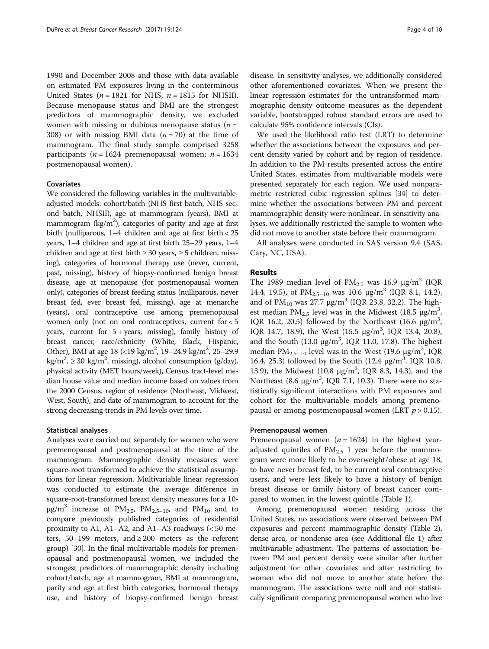1990 and December 2008 and those with data available on estimated PM exposures living in the conterminous United States ( $n = 1821$  for NHS,  $n = 1815$  for NHSII). Because menopause status and BMI are the strongest predictors of mammographic density, we excluded women with missing or dubious menopause status  $(n =$ 308) or with missing BMI data  $(n = 70)$  at the time of mammogram. The final study sample comprised 3258 participants ( $n = 1624$  premenopausal women;  $n = 1634$ postmenopausal women).

# Covariates

We considered the following variables in the multivariableadjusted models: cohort/batch (NHS first batch, NHS second batch, NHSII), age at mammogram (years), BMI at mammogram (kg/m<sup>2</sup>), categories of parity and age at first birth (nulliparous, 1–4 children and age at first birth < 25 years, 1–4 children and age at first birth 25–29 years, 1–4 children and age at first birth  $\geq 30$  years,  $\geq 5$  children, missing), categories of hormonal therapy use (never, current, past, missing), history of biopsy-confirmed benign breast disease, age at menopause (for postmenopausal women only), categories of breast feeding status (nulliparous, never breast fed, ever breast fed, missing), age at menarche (years), oral contraceptive use among premenopausal women only (not on oral contraceptives, current for < 5 years, current for  $5 + \text{years}$ , missing), family history of breast cancer, race/ethnicity (White, Black, Hispanic, Other), BMI at age 18 (<19 kg/m<sup>2</sup>, 19–24.9 kg/m<sup>2</sup>, 25–29.9  $\text{kg/m}^2$ ,  $\geq$  30 kg/m<sup>2</sup>, missing), alcohol consumption (g/day), physical activity (MET hours/week), Census tract-level median house value and median income based on values from the 2000 Census, region of residence (Northeast, Midwest, West, South), and date of mammogram to account for the strong decreasing trends in PM levels over time.

### Statistical analyses

Analyses were carried out separately for women who were premenopausal and postmenopausal at the time of the mammogram. Mammographic density measures were square-root transformed to achieve the statistical assumptions for linear regression. Multivariable linear regression was conducted to estimate the average difference in square-root-transformed breast density measures for a 10-  $\mu$ g/m<sup>3</sup> increase of PM<sub>2.5</sub>, PM<sub>2.5–10</sub>, and PM<sub>10</sub> and to compare previously published categories of residential proximity to A1, A1–A2, and A1–A3 roadways (< 50 meters, 50–199 meters, and  $\geq$  200 meters as the referent group) [\[30](#page-9-0)]. In the final multivariable models for premenopausal and postmenopausal women, we included the strongest predictors of mammographic density including cohort/batch, age at mammogram, BMI at mammogram, parity and age at first birth categories, hormonal therapy use, and history of biopsy-confirmed benign breast disease. In sensitivity analyses, we additionally considered other aforementioned covariates. When we present the linear regression estimates for the untransformed mammographic density outcome measures as the dependent variable, bootstrapped robust standard errors are used to calculate 95% confidence intervals (CIs).

We used the likelihood ratio test (LRT) to determine whether the associations between the exposures and percent density varied by cohort and by region of residence. In addition to the PM results presented across the entire United States, estimates from multivariable models were presented separately for each region. We used nonparametric restricted cubic regression splines [\[34\]](#page-9-0) to determine whether the associations between PM and percent mammographic density were nonlinear. In sensitivity analyses, we additionally restricted the sample to women who did not move to another state before their mammogram.

All analyses were conducted in SAS version 9.4 (SAS, Cary, NC, USA).

# Results

The 1989 median level of  $PM_{2.5}$  was 16.9  $\mu$ g/m<sup>3</sup> (IQR 14.4, 19.5), of  $PM_{2.5-10}$  was 10.6  $\mu$ g/m<sup>3</sup> (IQR 8.1, 14.2), and of  $PM_{10}$  was 27.7  $\mu$ g/m<sup>3</sup> (IQR 23.8, 32.2). The highest median  $PM_{2.5}$  level was in the Midwest (18.5  $\mu$ g/m<sup>3</sup>, IQR 16.2, 20.5) followed by the Northeast (16.6  $\mu$ g/m<sup>3</sup>, IQR 14.7, 18.9), the West (15.5 μg/m<sup>3</sup>, IQR 13.4, 20.8), and the South (13.0  $\mu$ g/m<sup>3</sup>, IQR 11.0, 17.8). The highest median  $PM_{2.5-10}$  level was in the West (19.6  $\mu$ g/m<sup>3</sup>, IQR 16.4, 25.3) followed by the South (12.4 μg/m<sup>3</sup>, IQR 10.8, 13.9), the Midwest  $(10.8 \text{ µg/m}^3, \text{ IQR } 8.3, 14.3)$ , and the Northeast  $(8.6 \text{ µg/m}^3, \text{IQR 7.1}, 10.3)$ . There were no statistically significant interactions with PM exposures and cohort for the multivariable models among premenopausal or among postmenopausal women (LRT  $p > 0.15$ ).

### Premenopausal women

Premenopausal women  $(n = 1624)$  in the highest yearadjusted quintiles of  $PM_{2.5}$  1 year before the mammogram were more likely to be overweight/obese at age 18, to have never breast fed, to be current oral contraceptive users, and were less likely to have a history of benign breast disease or family history of breast cancer compared to women in the lowest quintile (Table [1\)](#page-4-0).

Among premenopausal women residing across the United States, no associations were observed between PM exposures and percent mammographic density (Table [2](#page-5-0)), dense area, or nondense area (see Additional file [1\)](#page-8-0) after multivariable adjustment. The patterns of association between PM and percent density were similar after further adjustment for other covariates and after restricting to women who did not move to another state before the mammogram. The associations were null and not statistically significant comparing premenopausal women who live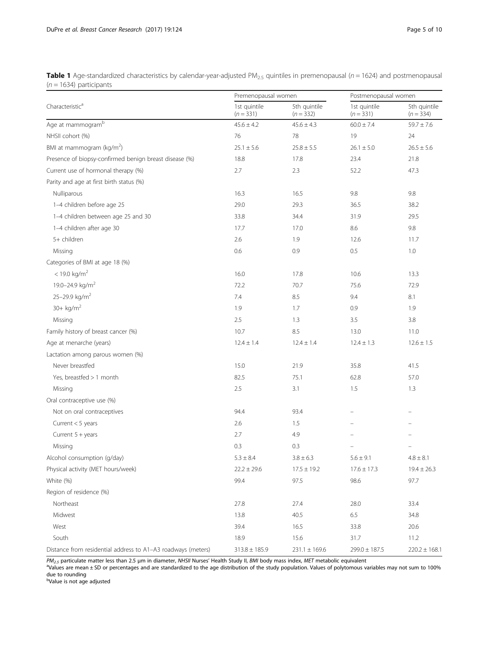<span id="page-4-0"></span>Table 1 Age-standardized characteristics by calendar-year-adjusted PM<sub>2.5</sub> quintiles in premenopausal ( $n = 1624$ ) and postmenopausal  $(n = 1634)$  participants

|                                                              | Premenopausal women         |                             | Postmenopausal women        |                             |
|--------------------------------------------------------------|-----------------------------|-----------------------------|-----------------------------|-----------------------------|
| Characteristic <sup>a</sup>                                  | 1st quintile<br>$(n = 331)$ | 5th quintile<br>$(n = 332)$ | 1st quintile<br>$(n = 331)$ | 5th quintile<br>$(n = 334)$ |
| Age at mammogram <sup>b</sup>                                | $45.6 \pm 4.2$              | $45.6 \pm 4.3$              | $60.0 \pm 7.4$              | $59.7 \pm 7.6$              |
| NHSII cohort (%)                                             | 76                          | 78                          | 19                          | 24                          |
| BMI at mammogram ( $\text{kg/m}^2$ )                         | $25.1 \pm 5.6$              | $25.8 \pm 5.5$              | $26.1 \pm 5.0$              | $26.5 \pm 5.6$              |
| Presence of biopsy-confirmed benign breast disease (%)       | 18.8                        | 17.8                        | 23.4                        | 21.8                        |
| Current use of hormonal therapy (%)                          | 2.7                         | 2.3                         | 52.2                        | 47.3                        |
| Parity and age at first birth status (%)                     |                             |                             |                             |                             |
| Nulliparous                                                  | 16.3                        | 16.5                        | 9.8                         | 9.8                         |
| 1-4 children before age 25                                   | 29.0                        | 29.3                        | 36.5                        | 38.2                        |
| 1-4 children between age 25 and 30                           | 33.8                        | 34.4                        | 31.9                        | 29.5                        |
| 1-4 children after age 30                                    | 17.7                        | 17.0                        | 8.6                         | 9.8                         |
| 5+ children                                                  | 2.6                         | 1.9                         | 12.6                        | 11.7                        |
| Missing                                                      | 0.6                         | 0.9                         | 0.5                         | 1.0                         |
| Categories of BMI at age 18 (%)                              |                             |                             |                             |                             |
| $< 19.0$ kg/m <sup>2</sup>                                   | 16.0                        | 17.8                        | 10.6                        | 13.3                        |
| 19.0-24.9 kg/m <sup>2</sup>                                  | 72.2                        | 70.7                        | 75.6                        | 72.9                        |
| 25-29.9 kg/m <sup>2</sup>                                    | 7.4                         | 8.5                         | 9.4                         | 8.1                         |
| $30 + kg/m2$                                                 | 1.9                         | 1.7                         | 0.9                         | 1.9                         |
| Missing                                                      | 2.5                         | 1.3                         | 3.5                         | 3.8                         |
| Family history of breast cancer (%)                          | 10.7                        | 8.5                         | 13.0                        | 11.0                        |
| Age at menarche (years)                                      | $12.4 \pm 1.4$              | $12.4 \pm 1.4$              | $12.4 \pm 1.3$              | $12.6 \pm 1.5$              |
| Lactation among parous women (%)                             |                             |                             |                             |                             |
| Never breastfed                                              | 15.0                        | 21.9                        | 35.8                        | 41.5                        |
| Yes, breastfed > 1 month                                     | 82.5                        | 75.1                        | 62.8                        | 57.0                        |
| Missing                                                      | 2.5                         | 3.1                         | 1.5                         | 1.3                         |
| Oral contraceptive use (%)                                   |                             |                             |                             |                             |
| Not on oral contraceptives                                   | 94.4                        | 93.4                        |                             |                             |
| Current $<$ 5 years                                          | 2.6                         | 1.5                         |                             |                             |
| Current $5 + \text{years}$                                   | 2.7                         | 4.9                         |                             |                             |
| Missing                                                      | 0.3                         | 0.3                         |                             |                             |
| Alcohol consumption (g/day)                                  | $5.3\pm8.4$                 | $3.8 \pm 6.3$               | $5.6 \pm 9.1$               | $4.8\pm8.1$                 |
| Physical activity (MET hours/week)                           | $22.2 \pm 29.6$             | $17.5 \pm 19.2$             | $17.6 \pm 17.3$             | $19.4 \pm 26.3$             |
| White (%)                                                    | 99.4                        | 97.5                        | 98.6                        | 97.7                        |
| Region of residence (%)                                      |                             |                             |                             |                             |
| Northeast                                                    | 27.8                        | 27.4                        | 28.0                        | 33.4                        |
| Midwest                                                      | 13.8                        | 40.5                        | 6.5                         | 34.8                        |
| West                                                         | 39.4                        | 16.5                        | 33.8                        | 20.6                        |
| South                                                        | 18.9                        | 15.6                        | 31.7                        | 11.2                        |
| Distance from residential address to A1-A3 roadways (meters) | $313.8 \pm 185.9$           | $231.1 \pm 169.6$           | $299.0 \pm 187.5$           | $220.2 \pm 168.1$           |

 $PM_{2.5}$  particulate matter less than 2.5 µm in diameter, NHSII Nurses' Health Study II, BMI body mass index, MET metabolic equivalent

<sup>a</sup>Values are mean ± SD or percentages and are standardized to the age distribution of the study population. Values of polytomous variables may not sum to 100% due to rounding

b Value is not age adjusted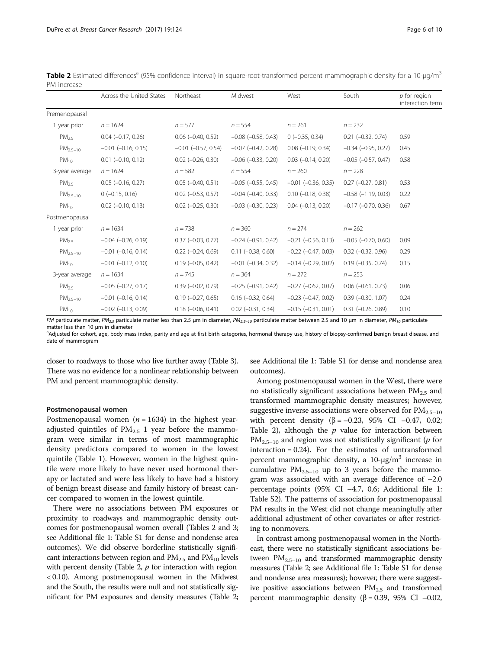<span id="page-5-0"></span>

| Table 2 Estimated differences <sup>a</sup> (95% confidence interval) in square-root-transformed percent mammographic density for a 10-µg/m <sup>3</sup> |  |
|---------------------------------------------------------------------------------------------------------------------------------------------------------|--|
| PM increase                                                                                                                                             |  |

|                   | Across the United States    | Northeast                   | Midwest                     | West                        | South                       | $p$ for region<br>interaction term |
|-------------------|-----------------------------|-----------------------------|-----------------------------|-----------------------------|-----------------------------|------------------------------------|
| Premenopausal     |                             |                             |                             |                             |                             |                                    |
| 1 year prior      | $n = 1624$                  | $n = 577$                   | $n = 554$                   | $n = 261$                   | $n = 232$                   |                                    |
| PM <sub>2.5</sub> | $0.04 (-0.17, 0.26)$        | $0.06$ ( $-0.40$ , $0.52$ ) | $-0.08$ $(-0.58, 0.43)$     | $0 (-0.35, 0.34)$           | $0.21 (-0.32, 0.74)$        | 0.59                               |
| $PM_{2.5-10}$     | $-0.01$ $(-0.16, 0.15)$     | $-0.01$ $(-0.57, 0.54)$     | $-0.07$ $(-0.42, 0.28)$     | $0.08$ ( $-0.19$ , $0.34$ ) | $-0.34$ $(-0.95, 0.27)$     | 0.45                               |
| $PM_{10}$         | $0.01$ ( $-0.10$ , $0.12$ ) | $0.02$ ( $-0.26$ , $0.30$ ) | $-0.06$ $(-0.33, 0.20)$     | $0.03$ ( $-0.14$ , $0.20$ ) | $-0.05$ $(-0.57, 0.47)$     | 0.58                               |
| 3-year average    | $n = 1624$                  | $n = 582$                   | $n = 554$                   | $n = 260$                   | $n = 228$                   |                                    |
| $PM_{2.5}$        | $0.05$ ( $-0.16$ , $0.27$ ) | $0.05$ ( $-0.40$ , $0.51$ ) | $-0.05$ $(-0.55, 0.45)$     | $-0.01$ $(-0.36, 0.35)$     | $0.27$ ( $-0.27$ , $0.81$ ) | 0.53                               |
| $PM_{2.5-10}$     | $0 (-0.15, 0.16)$           | $0.02$ ( $-0.53$ , $0.57$ ) | $-0.04$ $(-0.40, 0.33)$     | $0.10$ ( $-0.18$ , $0.38$ ) | $-0.58$ $(-1.19, 0.03)$     | 0.22                               |
| $PM_{10}$         | $0.02$ ( $-0.10$ , $0.13$ ) | $0.02$ ( $-0.25$ , $0.30$ ) | $-0.03$ $(-0.30, 0.23)$     | $0.04 (-0.13, 0.20)$        | $-0.17$ $(-0.70, 0.36)$     | 0.67                               |
| Postmenopausal    |                             |                             |                             |                             |                             |                                    |
| 1 year prior      | $n = 1634$                  | $n = 738$                   | $n = 360$                   | $n = 274$                   | $n = 262$                   |                                    |
| PM <sub>2.5</sub> | $-0.04$ $(-0.26, 0.19)$     | $0.37$ ( $-0.03$ , $0.77$ ) | $-0.24$ $(-0.91, 0.42)$     | $-0.21$ $(-0.56, 0.13)$     | $-0.05$ $(-0.70, 0.60)$     | 0.09                               |
| $PM_{2.5-10}$     | $-0.01$ $(-0.16, 0.14)$     | $0.22$ ( $-0.24$ , $0.69$ ) | $0.11 (-0.38, 0.60)$        | $-0.22$ $(-0.47, 0.03)$     | $0.32$ ( $-0.32$ , $0.96$ ) | 0.29                               |
| $PM_{10}$         | $-0.01$ $(-0.12, 0.10)$     | $0.19$ ( $-0.05$ , $0.42$ ) | $-0.01$ $(-0.34, 0.32)$     | $-0.14$ $(-0.29, 0.02)$     | $0.19$ ( $-0.35$ , $0.74$ ) | 0.15                               |
| 3-year average    | $n = 1634$                  | $n = 745$                   | $n = 364$                   | $n = 272$                   | $n = 253$                   |                                    |
| PM <sub>25</sub>  | $-0.05$ $(-0.27, 0.17)$     | $0.39$ ( $-0.02$ , $0.79$ ) | $-0.25$ $(-0.91, 0.42)$     | $-0.27$ $(-0.62, 0.07)$     | $0.06$ ( $-0.61$ , 0.73)    | 0.06                               |
| $PM_{2.5-10}$     | $-0.01$ $(-0.16, 0.14)$     | $0.19(-0.27, 0.65)$         | $0.16$ ( $-0.32$ , $0.64$ ) | $-0.23$ $(-0.47, 0.02)$     | $0.39$ ( $-0.30$ , $1.07$ ) | 0.24                               |
| $PM_{10}$         | $-0.02$ $(-0.13, 0.09)$     | $0.18$ ( $-0.06$ , $0.41$ ) | $0.02$ ( $-0.31$ , $0.34$ ) | $-0.15$ $(-0.31, 0.01)$     | $0.31 (-0.26, 0.89)$        | 0.10                               |

PM particulate matter, PM<sub>2.5</sub> particulate matter less than 2.5 μm in diameter, PM<sub>2.5-10</sub> particulate matter between 2.5 and 10 μm in diameter, PM<sub>10</sub> particulate matter less than 10 um in diameter

<sup>a</sup>Adjusted for cohort, age, body mass index, parity and age at first birth categories, hormonal therapy use, history of biopsy-confirmed benign breast disease, and date of mammogram

closer to roadways to those who live further away (Table [3](#page-6-0)). There was no evidence for a nonlinear relationship between PM and percent mammographic density.

#### Postmenopausal women

Postmenopausal women ( $n = 1634$ ) in the highest yearadjusted quintiles of  $PM<sub>2.5</sub>$  1 year before the mammogram were similar in terms of most mammographic density predictors compared to women in the lowest quintile (Table [1\)](#page-4-0). However, women in the highest quintile were more likely to have never used hormonal therapy or lactated and were less likely to have had a history of benign breast disease and family history of breast cancer compared to women in the lowest quintile.

There were no associations between PM exposures or proximity to roadways and mammographic density outcomes for postmenopausal women overall (Tables 2 and [3](#page-6-0); see Additional file [1](#page-8-0): Table S1 for dense and nondense area outcomes). We did observe borderline statistically significant interactions between region and  $PM_{2.5}$  and  $PM_{10}$  levels with percent density (Table 2,  $p$  for interaction with region < 0.10). Among postmenopausal women in the Midwest and the South, the results were null and not statistically significant for PM exposures and density measures (Table 2; see Additional file [1](#page-8-0): Table S1 for dense and nondense area outcomes).

Among postmenopausal women in the West, there were no statistically significant associations between  $PM_{2.5}$  and transformed mammographic density measures; however, suggestive inverse associations were observed for  $PM_{2,5-10}$ with percent density ( $β = -0.23$ , 95% CI -0.47, 0.02; Table 2), although the  $p$  value for interaction between  $PM_{2,5-10}$  and region was not statistically significant (*p* for interaction = 0.24). For the estimates of untransformed percent mammographic density, a  $10$ -μg/m<sup>3</sup> increase in cumulative  $PM_{2.5-10}$  up to 3 years before the mammogram was associated with an average difference of –2.0 percentage points (95% CI –4.7, 0.6; Additional file [1](#page-8-0): Table S2). The patterns of association for postmenopausal PM results in the West did not change meaningfully after additional adjustment of other covariates or after restricting to nonmovers.

In contrast among postmenopausal women in the Northeast, there were no statistically significant associations between  $PM_{2.5-10}$  and transformed mammographic density measures (Table 2; see Additional file [1](#page-8-0): Table S1 for dense and nondense area measures); however, there were suggestive positive associations between  $PM_{2.5}$  and transformed percent mammographic density ( $β = 0.39$ , 95% CI –0.02,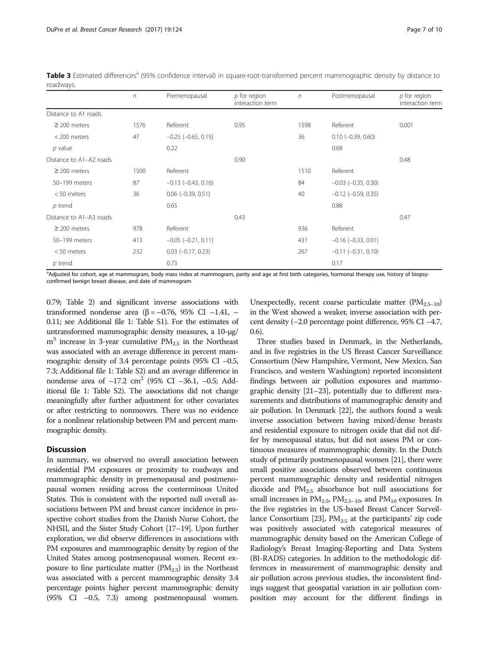|                         | $\eta$ | Premenopausal               | $p$ for region<br>interaction term | $\sqrt{n}$ | Postmenopausal              | $p$ for region<br>interaction term |
|-------------------------|--------|-----------------------------|------------------------------------|------------|-----------------------------|------------------------------------|
| Distance to A1 roads    |        |                             |                                    |            |                             |                                    |
| $\geq$ 200 meters       | 1576   | Referent                    | 0.95                               | 1598       | Referent                    | 0.001                              |
| < 200 meters            | 47     | $-0.25$ $(-0.65, 0.15)$     |                                    | 36         | $0.10$ ( $-0.39$ , $0.60$ ) |                                    |
| $p$ value               |        | 0.22                        |                                    |            | 0.68                        |                                    |
| Distance to A1-A2 roads |        |                             | 0.90                               |            |                             | 0.48                               |
| $\geq$ 200 meters       | 1500   | Referent                    |                                    | 1510       | Referent                    |                                    |
| 50-199 meters           | 87     | $-0.13$ $(-0.43, 0.16)$     |                                    | 84         | $-0.03$ $(-0.35, 0.30)$     |                                    |
| $< 50$ meters           | 36     | $0.06$ ( $-0.39$ , $0.51$ ) |                                    | 40         | $-0.12$ $(-0.59, 0.35)$     |                                    |
| $p$ trend               |        | 0.65                        |                                    |            | 0.88                        |                                    |
| Distance to A1-A3 roads |        |                             | 0.43                               |            |                             | 0.47                               |
| $\geq$ 200 meters       | 978    | Referent                    |                                    | 936        | Referent                    |                                    |
| 50-199 meters           | 413    | $-0.05$ $(-0.21, 0.11)$     |                                    | 431        | $-0.16$ $(-0.33, 0.01)$     |                                    |
| $< 50$ meters           | 232    | $0.03$ ( $-0.17$ , 0.23)    |                                    | 267        | $-0.11$ $(-0.31, 0.10)$     |                                    |
| $p$ trend               |        | 0.73                        |                                    |            | 0.17                        |                                    |

<span id="page-6-0"></span>Table 3 Estimated differences<sup>a</sup> (95% confidence interval) in square-root-transformed percent mammographic density by distance to roadways.

a<br>Adjusted for cohort, age at mammogram, body mass index at mammogram, parity and age at first birth categories, hormonal therapy use, history of biopsyconfirmed benign breast disease, and date of mammogram

0.79; Table [2\)](#page-5-0) and significant inverse associations with transformed nondense area (β = –0.76, 95% CI –1.41, – 0.11; see Additional file [1:](#page-8-0) Table S1). For the estimates of untransformed mammographic density measures, a 10-μg/  $m<sup>3</sup>$  increase in 3-year cumulative  $PM<sub>2.5</sub>$  in the Northeast was associated with an average difference in percent mammographic density of 3.4 percentage points (95% CI –0.5, 7.3; Additional file [1](#page-8-0): Table S2) and an average difference in nondense area of  $-17.2 \text{ cm}^2$  (95% CI  $-36.1$ ,  $-0.5$ ; Additional file [1](#page-8-0): Table S2). The associations did not change meaningfully after further adjustment for other covariates or after restricting to nonmovers. There was no evidence for a nonlinear relationship between PM and percent mammographic density.

# **Discussion**

In summary, we observed no overall association between residential PM exposures or proximity to roadways and mammographic density in premenopausal and postmenopausal women residing across the conterminous United States. This is consistent with the reported null overall associations between PM and breast cancer incidence in prospective cohort studies from the Danish Nurse Cohort, the NHSII, and the Sister Study Cohort [\[17](#page-9-0)–[19\]](#page-9-0). Upon further exploration, we did observe differences in associations with PM exposures and mammographic density by region of the United States among postmenopausal women. Recent exposure to fine particulate matter  $(PM_{2.5})$  in the Northeast was associated with a percent mammographic density 3.4 percentage points higher percent mammographic density (95% CI –0.5, 7.3) among postmenopausal women.

Unexpectedly, recent coarse particulate matter  $(PM_{2.5-10})$ in the West showed a weaker, inverse association with percent density (–2.0 percentage point difference, 95% CI –4.7, 0.6).

Three studies based in Denmark, in the Netherlands, and in five registries in the US Breast Cancer Surveillance Consortium (New Hampshire, Vermont, New Mexico, San Francisco, and western Washington) reported inconsistent findings between air pollution exposures and mammographic density [[21](#page-9-0)–[23](#page-9-0)], potentially due to different measurements and distributions of mammographic density and air pollution. In Denmark [[22](#page-9-0)], the authors found a weak inverse association between having mixed/dense breasts and residential exposure to nitrogen oxide that did not differ by menopausal status, but did not assess PM or continuous measures of mammographic density. In the Dutch study of primarily postmenopausal women [\[21\]](#page-9-0), there were small positive associations observed between continuous percent mammographic density and residential nitrogen dioxide and  $PM_{2.5}$  absorbance but null associations for small increases in  $PM_{2.5}$ ,  $PM_{2.5-10}$ , and  $PM_{10}$  exposures. In the five registries in the US-based Breast Cancer Surveil-lance Consortium [[23](#page-9-0)],  $PM_{2.5}$  at the participants' zip code was positively associated with categorical measures of mammographic density based on the American College of Radiology's Breast Imaging-Reporting and Data System (BI-RADS) categories. In addition to the methodologic differences in measurement of mammographic density and air pollution across previous studies, the inconsistent findings suggest that geospatial variation in air pollution composition may account for the different findings in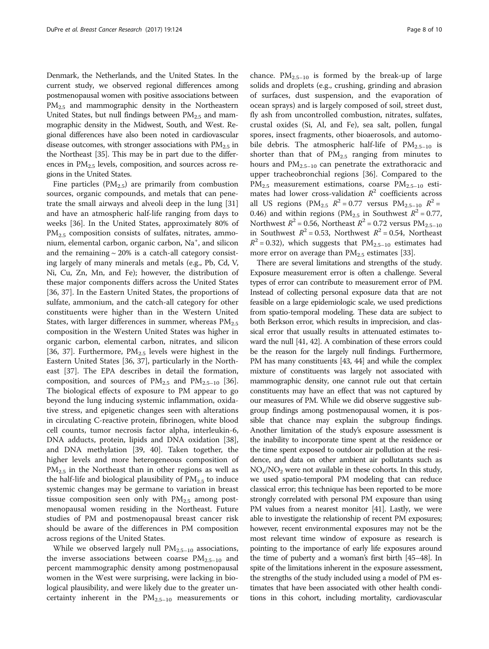Denmark, the Netherlands, and the United States. In the current study, we observed regional differences among postmenopausal women with positive associations between  $PM_{2.5}$  and mammographic density in the Northeastern United States, but null findings between  $PM_{2.5}$  and mammographic density in the Midwest, South, and West. Regional differences have also been noted in cardiovascular disease outcomes, with stronger associations with  $PM_{2.5}$  in the Northeast [\[35](#page-9-0)]. This may be in part due to the differences in  $PM<sub>2.5</sub>$  levels, composition, and sources across regions in the United States.

Fine particles  $(PM_{2.5})$  are primarily from combustion sources, organic compounds, and metals that can penetrate the small airways and alveoli deep in the lung [[31](#page-9-0)] and have an atmospheric half-life ranging from days to weeks [\[36](#page-9-0)]. In the United States, approximately 80% of  $PM_{2.5}$  composition consists of sulfates, nitrates, ammonium, elemental carbon, organic carbon, Na<sup>+</sup>, and silicon and the remaining  $\sim$  20% is a catch-all category consisting largely of many minerals and metals (e.g., Pb, Cd, V, Ni, Cu, Zn, Mn, and Fe); however, the distribution of these major components differs across the United States [[36, 37\]](#page-9-0). In the Eastern United States, the proportions of sulfate, ammonium, and the catch-all category for other constituents were higher than in the Western United States, with larger differences in summer, whereas  $PM_{2.5}$ composition in the Western United States was higher in organic carbon, elemental carbon, nitrates, and silicon [[36, 37\]](#page-9-0). Furthermore,  $PM_{2.5}$  levels were highest in the Eastern United States [[36, 37\]](#page-9-0), particularly in the Northeast [\[37\]](#page-9-0). The EPA describes in detail the formation, composition, and sources of  $PM_{2.5}$  and  $PM_{2.5-10}$  [\[36](#page-9-0)]. The biological effects of exposure to PM appear to go beyond the lung inducing systemic inflammation, oxidative stress, and epigenetic changes seen with alterations in circulating C-reactive protein, fibrinogen, white blood cell counts, tumor necrosis factor alpha, interleukin-6, DNA adducts, protein, lipids and DNA oxidation [\[38](#page-9-0)], and DNA methylation [[39](#page-9-0), [40\]](#page-9-0). Taken together, the higher levels and more heterogeneous composition of  $PM<sub>2.5</sub>$  in the Northeast than in other regions as well as the half-life and biological plausibility of  $PM_{2.5}$  to induce systemic changes may be germane to variation in breast tissue composition seen only with  $PM_{2.5}$  among postmenopausal women residing in the Northeast. Future studies of PM and postmenopausal breast cancer risk should be aware of the differences in PM composition across regions of the United States.

While we observed largely null  $PM_{2.5-10}$  associations, the inverse associations between coarse  $PM_{2.5-10}$  and percent mammographic density among postmenopausal women in the West were surprising, were lacking in biological plausibility, and were likely due to the greater uncertainty inherent in the  $PM_{2.5-10}$  measurements or

chance.  $PM_{2.5-10}$  is formed by the break-up of large solids and droplets (e.g., crushing, grinding and abrasion of surfaces, dust suspension, and the evaporation of ocean sprays) and is largely composed of soil, street dust, fly ash from uncontrolled combustion, nitrates, sulfates, crustal oxides (Si, Al, and Fe), sea salt, pollen, fungal spores, insect fragments, other bioaerosols, and automobile debris. The atmospheric half-life of  $PM_{2.5-10}$  is shorter than that of  $PM_{2.5}$  ranging from minutes to hours and  $PM_{2.5-10}$  can penetrate the extrathoracic and upper tracheobronchial regions [[36\]](#page-9-0). Compared to the  $PM_{2.5}$  measurement estimations, coarse  $PM_{2.5-10}$  estimates had lower cross-validation  $R^2$  coefficients across all US regions (PM<sub>2.5</sub>  $R^2 = 0.77$  versus PM<sub>2.5-10</sub>  $R^2 =$ 0.46) and within regions (PM<sub>2.5</sub> in Southwest  $R^2 = 0.77$ , Northwest  $R^2$  = 0.56, Northeast  $R^2$  = 0.72 versus PM<sub>2.5–10</sub> in Southwest  $R^2 = 0.53$ , Northwest  $R^2 = 0.54$ , Northeast  $R^2$  = 0.32), which suggests that PM<sub>2.5–10</sub> estimates had more error on average than  $PM_{2.5}$  estimates [[33\]](#page-9-0).

There are several limitations and strengths of the study. Exposure measurement error is often a challenge. Several types of error can contribute to measurement error of PM. Instead of collecting personal exposure data that are not feasible on a large epidemiologic scale, we used predictions from spatio-temporal modeling. These data are subject to both Berkson error, which results in imprecision, and classical error that usually results in attenuated estimates toward the null [\[41, 42](#page-9-0)]. A combination of these errors could be the reason for the largely null findings. Furthermore, PM has many constituents [\[43, 44](#page-9-0)] and while the complex mixture of constituents was largely not associated with mammographic density, one cannot rule out that certain constituents may have an effect that was not captured by our measures of PM. While we did observe suggestive subgroup findings among postmenopausal women, it is possible that chance may explain the subgroup findings. Another limitation of the study's exposure assessment is the inability to incorporate time spent at the residence or the time spent exposed to outdoor air pollution at the residence, and data on other ambient air pollutants such as  $NO<sub>x</sub>/NO<sub>2</sub>$  were not available in these cohorts. In this study, we used spatio-temporal PM modeling that can reduce classical error; this technique has been reported to be more strongly correlated with personal PM exposure than using PM values from a nearest monitor [\[41](#page-9-0)]. Lastly, we were able to investigate the relationship of recent PM exposures; however, recent environmental exposures may not be the most relevant time window of exposure as research is pointing to the importance of early life exposures around the time of puberty and a woman's first birth [[45](#page-9-0)–[48](#page-9-0)]. In spite of the limitations inherent in the exposure assessment, the strengths of the study included using a model of PM estimates that have been associated with other health conditions in this cohort, including mortality, cardiovascular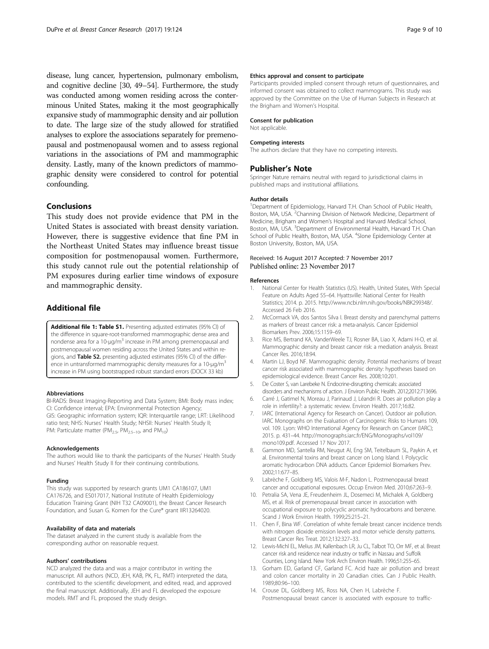<span id="page-8-0"></span>disease, lung cancer, hypertension, pulmonary embolism, and cognitive decline [[30](#page-9-0), [49](#page-9-0)–[54\]](#page-9-0). Furthermore, the study was conducted among women residing across the conterminous United States, making it the most geographically expansive study of mammographic density and air pollution to date. The large size of the study allowed for stratified analyses to explore the associations separately for premenopausal and postmenopausal women and to assess regional variations in the associations of PM and mammographic density. Lastly, many of the known predictors of mammographic density were considered to control for potential confounding.

# Conclusions

This study does not provide evidence that PM in the United States is associated with breast density variation. However, there is suggestive evidence that fine PM in the Northeast United States may influence breast tissue composition for postmenopausal women. Furthermore, this study cannot rule out the potential relationship of PM exposures during earlier time windows of exposure and mammographic density.

# Additional file

[Additional file 1: Table S1.](dx.doi.org/10.1186/s13058-017-0915-5) Presenting adjusted estimates (95% CI) of the difference in square-root-transformed mammographic dense area and nondense area for a 10- $\mu$ g/m<sup>3</sup> increase in PM among premenopausal and postmenopausal women residing across the United States and within regions, and Table S2. presenting adjusted estimates (95% CI) of the difference in untransformed mammographic density measures for a 10-μg/m<sup>3</sup> increase in PM using bootstrapped robust standard errors (DOCX 33 kb)

#### Abbreviations

BI-RADS: Breast Imaging-Reporting and Data System; BMI: Body mass index; CI: Confidence interval; EPA: Environmental Protection Agency; GIS: Geographic information system; IQR: Interquartile range; LRT: Likelihood ratio test; NHS: Nurses' Health Study; NHSII: Nurses' Health Study II; PM: Particulate matter (PM<sub>2.5</sub>, PM<sub>2.5–10</sub>, and PM<sub>10</sub>)

#### Acknowledgements

The authors would like to thank the participants of the Nurses' Health Study and Nurses' Health Study II for their continuing contributions.

### Funding

This study was supported by research grants UM1 CA186107, UM1 CA176726, and ES017017, National Institute of Health Epidemiology Education Training Grant (NIH T32 CA09001), the Breast Cancer Research Foundation, and Susan G. Komen for the Cure® grant IIR13264020.

# Availability of data and materials

The dataset analyzed in the current study is available from the corresponding author on reasonable request.

#### Authors' contributions

NCD analyzed the data and was a major contributor in writing the manuscript. All authors (NCD, JEH, KAB, PK, FL, RMT) interpreted the data, contributed to the scientific development, and edited, read, and approved the final manuscript. Additionally, JEH and FL developed the exposure models. RMT and FL proposed the study design.

### Ethics approval and consent to participate

Participants provided implied consent through return of questionnaires, and informed consent was obtained to collect mammograms. This study was approved by the Committee on the Use of Human Subjects in Research at the Brigham and Women's Hospital.

#### Consent for publication

Not applicable.

### Competing interests

The authors declare that they have no competing interests.

# Publisher's Note

Springer Nature remains neutral with regard to jurisdictional claims in published maps and institutional affiliations.

### Author details

<sup>1</sup>Department of Epidemiology, Harvard T.H. Chan School of Public Health Boston, MA, USA. <sup>2</sup>Channing Division of Network Medicine, Department of Medicine, Brigham and Women's Hospital and Harvard Medical School, Boston, MA, USA. <sup>3</sup>Department of Environmental Health, Harvard T.H. Chan School of Public Health, Boston, MA, USA. <sup>4</sup>Slone Epidemiology Center at Boston University, Boston, MA, USA.

# Received: 16 August 2017 Accepted: 7 November 2017 Published online: 23 November 2017

#### References

- 1. National Center for Health Statistics (US). Health, United States, With Special Feature on Adults Aged 55–64. Hyattsville: National Center for Health Statistics; 2014. p. 2015. [http://www.ncbi.nlm.nih.gov/books/NBK299348/.](http://www.ncbi.nlm.nih.gov/books/NBK299348/) Accessed 26 Feb 2016.
- 2. McCormack VA, dos Santos Silva I. Breast density and parenchymal patterns as markers of breast cancer risk: a meta-analysis. Cancer Epidemiol Biomarkers Prev. 2006;15:1159–69.
- 3. Rice MS, Bertrand KA, VanderWeele TJ, Rosner BA, Liao X, Adami H-O, et al. Mammographic density and breast cancer risk: a mediation analysis. Breast Cancer Res. 2016;18:94.
- 4. Martin LJ, Boyd NF. Mammographic density. Potential mechanisms of breast cancer risk associated with mammographic density: hypotheses based on epidemiological evidence. Breast Cancer Res. 2008;10:201.
- 5. De Coster S, van Larebeke N. Endocrine-disrupting chemicals: associated disorders and mechanisms of action. J Environ Public Health. 2012;2012:713696.
- 6. Carré J, Gatimel N, Moreau J, Parinaud J, Léandri R. Does air pollution play a role in infertility?: a systematic review. Environ Health. 2017;16:82.
- 7. IARC (International Agency for Research on Cancer). Outdoor air pollution. IARC Monographs on the Evaluation of Carcinogenic Risks to Humans 109, vol. 109. Lyon: WHO International Agency for Research on Cancer (IARC); 2015. p. 431–44. [http://monographs.iarc.fr/ENG/Monographs/vol109/](http://monographs.iarc.fr/ENG/Monographs/vol109/mono109.pdf) [mono109.pdf.](http://monographs.iarc.fr/ENG/Monographs/vol109/mono109.pdf) Accessed 17 Nov 2017.
- 8. Gammon MD, Santella RM, Neugut AI, Eng SM, Teitelbaum SL, Paykin A, et al. Environmental toxins and breast cancer on Long Island. I. Polycyclic aromatic hydrocarbon DNA adducts. Cancer Epidemiol Biomarkers Prev. 2002;11:677–85.
- 9. Labrèche F, Goldberg MS, Valois M-F, Nadon L. Postmenopausal breast cancer and occupational exposures. Occup Environ Med. 2010;67:263–9.
- 10. Petralia SA, Vena JE, Freudenheim JL, Dosemeci M, Michalek A, Goldberg MS, et al. Risk of premenopausal breast cancer in association with occupational exposure to polycyclic aromatic hydrocarbons and benzene. Scand J Work Environ Health. 1999;25:215–21.
- 11. Chen F, Bina WF. Correlation of white female breast cancer incidence trends with nitrogen dioxide emission levels and motor vehicle density patterns. Breast Cancer Res Treat. 2012;132:327–33.
- 12. Lewis-Michl EL, Melius JM, Kallenbach LR, Ju CL, Talbot TO, Orr MF, et al. Breast cancer risk and residence near industry or traffic in Nassau and Suffolk Counties, Long Island. New York Arch Environ Health. 1996;51:255–65.
- 13. Gorham ED, Garland CF, Garland FC. Acid haze air pollution and breast and colon cancer mortality in 20 Canadian cities. Can J Public Health. 1989;80:96–100.
- 14. Crouse DL, Goldberg MS, Ross NA, Chen H, Labrèche F. Postmenopausal breast cancer is associated with exposure to traffic-